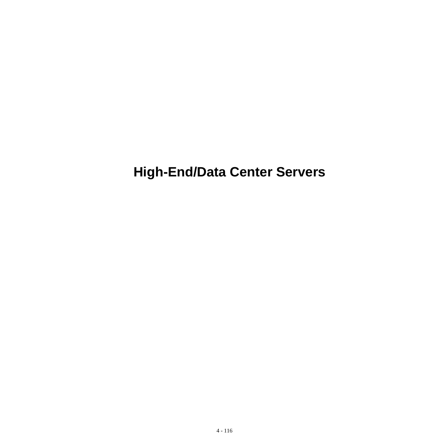# **High-End/Data Center Servers**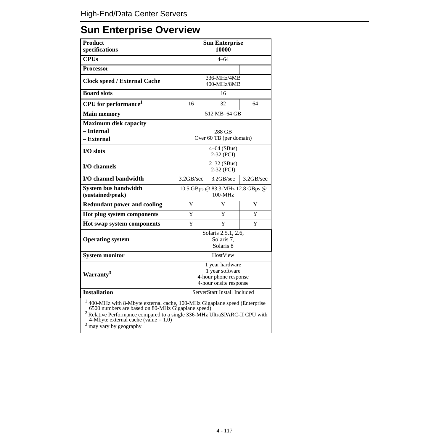# **Sun Enterprise Overview**

| Product<br>specifications                                                                                                                                                                                                                                                             | <b>Sun Enterprise</b><br>10000                                                        |                              |           |
|---------------------------------------------------------------------------------------------------------------------------------------------------------------------------------------------------------------------------------------------------------------------------------------|---------------------------------------------------------------------------------------|------------------------------|-----------|
| <b>CPUs</b>                                                                                                                                                                                                                                                                           | $4 - 64$                                                                              |                              |           |
| Processor                                                                                                                                                                                                                                                                             |                                                                                       |                              |           |
| <b>Clock speed / External Cache</b>                                                                                                                                                                                                                                                   |                                                                                       | 336-MHz/4MB<br>400-MHz/8MB   |           |
| <b>Board slots</b>                                                                                                                                                                                                                                                                    |                                                                                       | 16                           |           |
| CPU for performance <sup>1</sup>                                                                                                                                                                                                                                                      | 16                                                                                    | 32                           | 64        |
| <b>Main memory</b>                                                                                                                                                                                                                                                                    |                                                                                       | 512 MB-64 GB                 |           |
| <b>Maximum disk capacity</b><br>– Internal<br>- External                                                                                                                                                                                                                              | 288 GB<br>Over 60 TB (per domain)                                                     |                              |           |
| I/O slots                                                                                                                                                                                                                                                                             | $4-64$ (SBus)<br>2-32 (PCI)                                                           |                              |           |
| I/O channels                                                                                                                                                                                                                                                                          | $2 - 32$ (SBus)<br>2-32 (PCI)                                                         |                              |           |
| I/O channel bandwidth                                                                                                                                                                                                                                                                 | 3.2GB/sec                                                                             | 3.2GB/sec                    | 3.2GB/sec |
| <b>System bus bandwidth</b><br>(sustained/peak)                                                                                                                                                                                                                                       | 10.5 GBps @ 83.3-MHz 12.8 GBps @<br>$100-MHz$                                         |                              |           |
| <b>Redundant power and cooling</b>                                                                                                                                                                                                                                                    | Y                                                                                     | Y                            | Y         |
| Hot plug system components                                                                                                                                                                                                                                                            | Y                                                                                     | Y                            | Y         |
| Hot swap system components                                                                                                                                                                                                                                                            | Y                                                                                     | Y                            | Y         |
| <b>Operating system</b>                                                                                                                                                                                                                                                               | Solaris 2.5.1, 2.6,<br>Solaris 7,<br>Solaris 8                                        |                              |           |
| <b>System monitor</b>                                                                                                                                                                                                                                                                 |                                                                                       | HostView                     |           |
| Warranty <sup>3</sup>                                                                                                                                                                                                                                                                 | 1 year hardware<br>1 year software<br>4-hour phone response<br>4-hour onsite response |                              |           |
| <b>Installation</b>                                                                                                                                                                                                                                                                   |                                                                                       | ServerStart Install Included |           |
| $1$ 400-MHz with 8-Mbyte external cache, 100-MHz Gigaplane speed (Enterprise<br>6500 numbers are based on 80-MHz Gigaplane speed)<br>$2$ Relative Performance compared to a single 336-MHz UltraSPARC-II CPU with<br>4-Mbyte external cache (value = $1.0$ )<br>may vary by geography |                                                                                       |                              |           |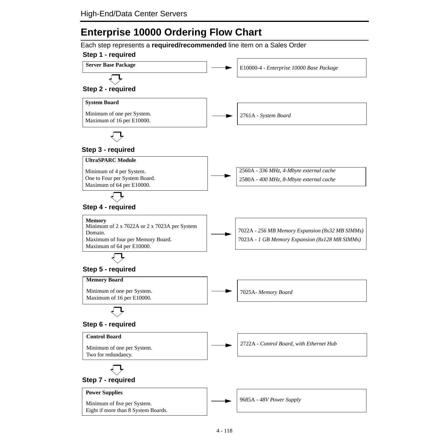### **Enterprise 10000 Ordering Flow Chart**

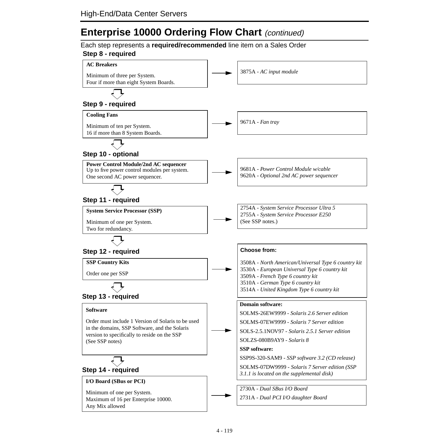### **Enterprise 10000 Ordering Flow Chart (continued)**

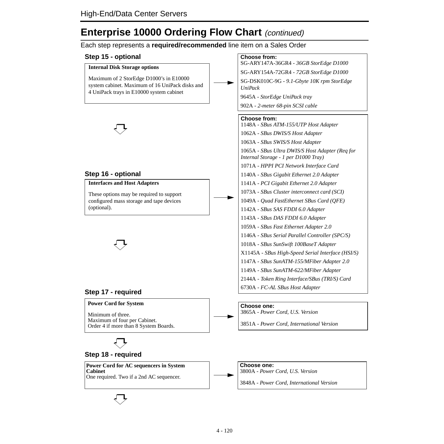### **Enterprise 10000 Ordering Flow Chart (continued)**

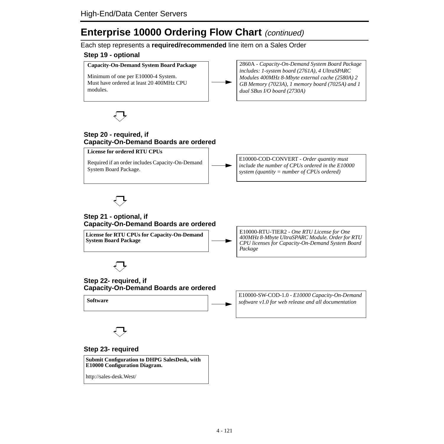### **Enterprise 10000 Ordering Flow Chart (continued)**

Each step represents a **required/recommended** line item on a Sales Order

#### **Step 19 - optional**

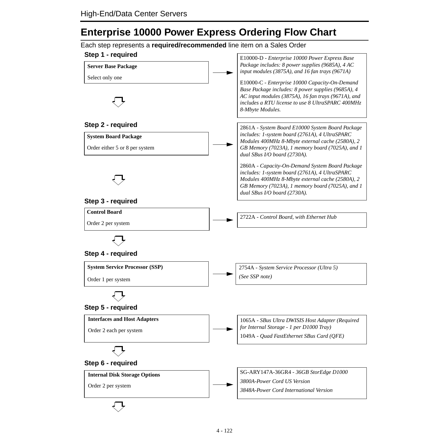### **Enterprise 10000 Power Express Ordering Flow Chart**

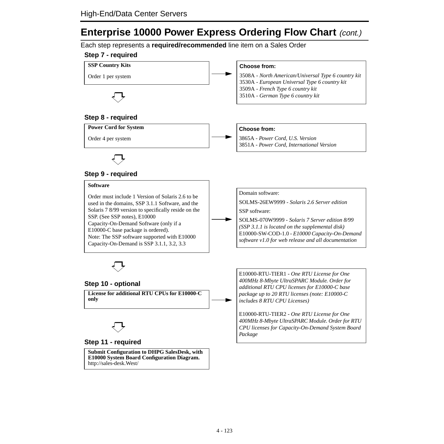### **Enterprise 10000 Power Express Ordering Flow Chart (cont.)**



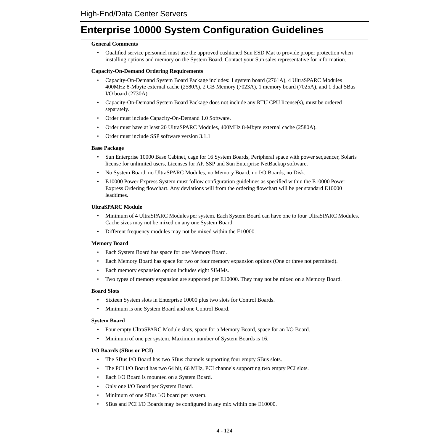### **Enterprise 10000 System Configuration Guidelines**

#### **General Comments**

• Qualified service personnel must use the approved cushioned Sun ESD Mat to provide proper protection when installing options and memory on the System Board. Contact your Sun sales representative for information.

#### **Capacity-On-Demand Ordering Requirements**

- Capacity-On-Demand System Board Package includes: 1 system board (2761A), 4 UltraSPARC Modules 400MHz 8-Mbyte external cache (2580A), 2 GB Memory (7023A), 1 memory board (7025A), and 1 dual SBus I/O board (2730A).
- Capacity-On-Demand System Board Package does not include any RTU CPU license(s), must be ordered separately.
- Order must include Capacity-On-Demand 1.0 Software.
- Order must have at least 20 UltraSPARC Modules, 400MHz 8-Mbyte external cache (2580A).
- Order must include SSP software version 3.1.1

#### **Base Package**

- Sun Enterprise 10000 Base Cabinet, cage for 16 System Boards, Peripheral space with power sequencer, Solaris license for unlimited users, Licenses for AP, SSP and Sun Enterprise NetBackup software.
- No System Board, no UltraSPARC Modules, no Memory Board, no I/O Boards, no Disk.
- E10000 Power Express System must follow configuration guidelines as specified within the E10000 Power Express Ordering flowchart. Any deviations will from the ordering flowchart will be per standard E10000 leadtimes.

#### **UltraSPARC Module**

- Minimum of 4 UltraSPARC Modules per system. Each System Board can have one to four UltraSPARC Modules. Cache sizes may not be mixed on any one System Board.
- Different frequency modules may not be mixed within the E10000.

#### **Memory Board**

- Each System Board has space for one Memory Board.
- Each Memory Board has space for two or four memory expansion options (One or three not permitted).
- Each memory expansion option includes eight SIMMs.
- Two types of memory expansion are supported per E10000. They may not be mixed on a Memory Board.

#### **Board Slots**

- Sixteen System slots in Enterprise 10000 plus two slots for Control Boards.
- Minimum is one System Board and one Control Board.

#### **System Board**

- Four empty UltraSPARC Module slots, space for a Memory Board, space for an I/O Board.
- Minimum of one per system. Maximum number of System Boards is 16.

#### **I/O Boards (SBus or PCI)**

- The SBus I/O Board has two SBus channels supporting four empty SBus slots.
- The PCI I/O Board has two 64 bit, 66 MHz, PCI channels supporting two empty PCI slots.
- Each I/O Board is mounted on a System Board.
- Only one I/O Board per System Board.
- Minimum of one SBus I/O board per system.
- SBus and PCI I/O Boards may be configured in any mix within one E10000.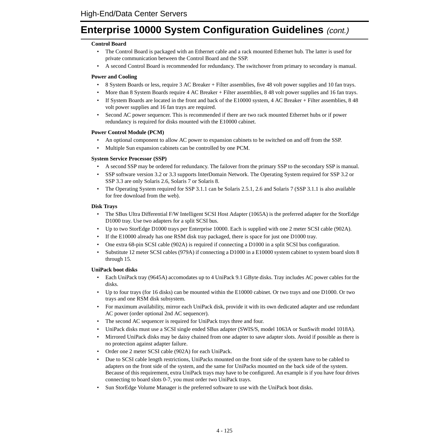### **Enterprise 10000 System Configuration Guidelines (cont.)**

#### **Control Board**

- The Control Board is packaged with an Ethernet cable and a rack mounted Ethernet hub. The latter is used for private communication between the Control Board and the SSP.
- A second Control Board is recommended for redundancy. The switchover from primary to secondary is manual.

#### **Power and Cooling**

- 8 System Boards or less, require 3 AC Breaker + Filter assemblies, five 48 volt power supplies and 10 fan trays.
- More than 8 System Boards require 4 AC Breaker + Filter assemblies, 8 48 volt power supplies and 16 fan trays.
- If System Boards are located in the front and back of the E10000 system, 4 AC Breaker + Filter assemblies, 8 48 volt power supplies and 16 fan trays are required.
- Second AC power sequencer. This is recommended if there are two rack mounted Ethernet hubs or if power redundancy is required for disks mounted with the E10000 cabinet.

#### **Power Control Module (PCM)**

- An optional component to allow AC power to expansion cabinets to be switched on and off from the SSP.
- Multiple Sun expansion cabinets can be controlled by one PCM.

#### **System Service Processor (SSP)**

- A second SSP may be ordered for redundancy. The failover from the primary SSP to the secondary SSP is manual.
- SSP software version 3.2 or 3.3 supports InterDomain Network. The Operating System required for SSP 3.2 or SSP 3.3 are only Solaris 2.6, Solaris 7 or Solaris 8.
- The Operating System required for SSP 3.1.1 can be Solaris 2.5.1, 2.6 and Solaris 7 (SSP 3.1.1 is also available for free download from the web).

#### **Disk Trays**

- The SBus Ultra Differential F/W Intelligent SCSI Host Adapter (1065A) is the preferred adapter for the StorEdge D1000 tray. Use two adapters for a split SCSI bus.
- Up to two StorEdge D1000 trays per Enterprise 10000. Each is supplied with one 2 meter SCSI cable (902A).
- If the E10000 already has one RSM disk tray packaged, there is space for just one D1000 tray.
- One extra 68-pin SCSI cable (902A) is required if connecting a D1000 in a split SCSI bus configuration.
- Substitute 12 meter SCSI cables (979A) if connecting a D1000 in a E10000 system cabinet to system board slots 8 through 15.

#### **UniPack boot disks**

- Each UniPack tray (9645A) accomodates up to 4 UniPack 9.1 GByte disks. Tray includes AC power cables for the disks.
- Up to four trays (for 16 disks) can be mounted within the E10000 cabinet. Or two trays and one D1000. Or two trays and one RSM disk subsystem.
- For maximum availability, mirror each UniPack disk, provide it with its own dedicated adapter and use redundant AC power (order optional 2nd AC sequencer).
- The second AC sequencer is required for UniPack trays three and four.
- UniPack disks must use a SCSI single ended SBus adapter (SWIS/S, model 1063A or SunSwift model 1018A).
- Mirrored UniPack disks may be daisy chained from one adapter to save adapter slots. Avoid if possible as there is no protection against adapter failure.
- Order one 2 meter SCSI cable (902A) for each UniPack.
- Due to SCSI cable length restrictions, UniPacks mounted on the front side of the system have to be cabled to adapters on the front side of the system, and the same for UniPacks mounted on the back side of the system. Because of this requirement, extra UniPack trays may have to be configured. An example is if you have four drives connecting to board slots 0-7, you must order two UniPack trays.
- Sun StorEdge Volume Manager is the preferred software to use with the UniPack boot disks.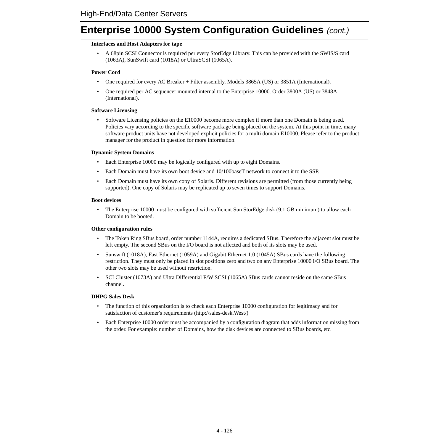### **Enterprise 10000 System Configuration Guidelines (cont.)**

#### **Interfaces and Host Adapters for tape**

• A 68pin SCSI Connector is required per every StorEdge Library. This can be provided with the SWIS/S card (1063A), SunSwift card (1018A) or UltraSCSI (1065A).

#### **Power Cord**

- One required for every AC Breaker + Filter assembly. Models 3865A (US) or 3851A (International).
- One required per AC sequencer mounted internal to the Enterprise 10000. Order 3800A (US) or 3848A (International).

#### **Software Licensing**

• Software Licensing policies on the E10000 become more complex if more than one Domain is being used. Policies vary according to the specific software package being placed on the system. At this point in time, many software product units have not developed explicit policies for a multi domain E10000. Please refer to the product manager for the product in question for more information.

#### **Dynamic System Domains**

- Each Enterprise 10000 may be logically configured with up to eight Domains.
- Each Domain must have its own boot device and 10/100baseT network to connect it to the SSP.
- Each Domain must have its own copy of Solaris. Different revisions are permitted (from those currently being supported). One copy of Solaris may be replicated up to seven times to support Domains.

#### **Boot devices**

• The Enterprise 10000 must be configured with sufficient Sun StorEdge disk (9.1 GB minimum) to allow each Domain to be booted.

#### **Other configuration rules**

- The Token Ring SBus board, order number 1144A, requires a dedicated SBus. Therefore the adjacent slot must be left empty. The second SBus on the I/O board is not affected and both of its slots may be used.
- Sunswift (1018A), Fast Ethernet (1059A) and Gigabit Ethernet 1.0 (1045A) SBus cards have the following restriction. They must only be placed in slot positions zero and two on any Enterprise 10000 I/O SBus board. The other two slots may be used without restriction.
- SCI Cluster (1073A) and Ultra Differential F/W SCSI (1065A) SBus cards cannot reside on the same SBus channel.

#### **DHPG Sales Desk**

- The function of this organization is to check each Enterprise 10000 configuration for legitimacy and for satisfaction of customer's requirements (http://sales-desk.West/)
- Each Enterprise 10000 order must be accompanied by a configuration diagram that adds information missing from the order. For example: number of Domains, how the disk devices are connected to SBus boards, etc.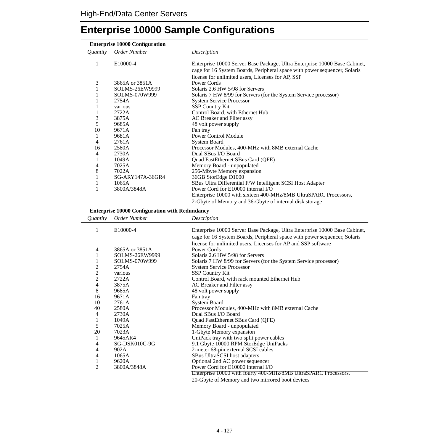# **Enterprise 10000 Sample Configurations**

| Quantity<br>1 | Order Number<br>E10000-4 | Description                                                                                                                                             |
|---------------|--------------------------|---------------------------------------------------------------------------------------------------------------------------------------------------------|
|               |                          |                                                                                                                                                         |
|               |                          | Enterprise 10000 Server Base Package, Ultra Enterprise 10000 Base Cabinet,<br>cage for 16 System Boards, Peripheral space with power sequencer, Solaris |
|               |                          | license for unlimited users, Licenses for AP, SSP                                                                                                       |
| 3             | 3865A or 3851A           | Power Cords                                                                                                                                             |
| 1             | SOLMS-26EW9999           | Solaris 2.6 HW 5/98 for Servers                                                                                                                         |
|               | SOLMS-070W999            | Solaris 7 HW 8/99 for Servers (for the System Service processor)                                                                                        |
|               | 2754A                    | <b>System Service Processor</b>                                                                                                                         |
|               | various                  | <b>SSP Country Kit</b>                                                                                                                                  |
| 1             | 2722A                    | Control Board, with Ethernet Hub                                                                                                                        |
| 3             | 3875A                    | AC Breaker and Filter assy                                                                                                                              |
| 5             | 9685A                    | 48 volt power supply                                                                                                                                    |
| 10            | 9671A                    | Fan tray                                                                                                                                                |
| 1             | 9681A                    | <b>Power Control Module</b>                                                                                                                             |
| 4             | 2761A                    | <b>System Board</b>                                                                                                                                     |
| 16            | 2580A                    | Processor Modules, 400-MHz with 8MB external Cache                                                                                                      |
| 4             | 2730A                    | Dual SBus I/O Board                                                                                                                                     |
| 1             | 1049A                    | Quad FastEthernet SBus Card (QFE)                                                                                                                       |
| 4             | 7025A                    | Memory Board - unpopulated                                                                                                                              |
| 8             | 7022A                    | 256-Mbyte Memory expansion                                                                                                                              |
|               | SG-ARY147A-36GR4         | 36GB StorEdge D1000                                                                                                                                     |
| 1             | 1065A                    | SBus Ultra Differential F/W Intelligent SCSI Host Adapter                                                                                               |
|               | 3800A/3848A              | Power Cord for E10000 internal I/O                                                                                                                      |
|               |                          | Enterprise 10000 with sixteen 400-MHz/8MB UltraSPARC Processors,                                                                                        |
|               |                          | 2-Gbyte of Memory and 36-Gbyte of internal disk storage                                                                                                 |

#### **Enterprise 10000 Configuration with Redundancy**

| Quantity       | Order Number   | Description                                                                |
|----------------|----------------|----------------------------------------------------------------------------|
| 1              | E10000-4       | Enterprise 10000 Server Base Package, Ultra Enterprise 10000 Base Cabinet, |
|                |                | cage for 16 System Boards, Peripheral space with power sequencer, Solaris  |
|                |                | license for unlimited users, Licenses for AP and SSP software              |
| 4              | 3865A or 3851A | Power Cords                                                                |
|                | SOLMS-26EW9999 | Solaris 2.6 HW 5/98 for Servers                                            |
|                | SOLMS-070W999  | Solaris 7 HW 8/99 for Servers (for the System Service processor)           |
| 2              | 2754A          | <b>System Service Processor</b>                                            |
| $\overline{c}$ | various        | <b>SSP Country Kit</b>                                                     |
| $\overline{c}$ | 2722A          | Control Board, with rack mounted Ethernet Hub                              |
| 4              | 3875A          | AC Breaker and Filter assy                                                 |
| 8              | 9685A          | 48 volt power supply                                                       |
| 16             | 9671A          | Fan tray                                                                   |
| 10             | 2761A          | <b>System Board</b>                                                        |
| 40             | 2580A          | Processor Modules, 400-MHz with 8MB external Cache                         |
| 4              | 2730A          | Dual SBus I/O Board                                                        |
|                | 1049A          | Quad FastEthernet SBus Card (QFE)                                          |
| 5              | 7025A          | Memory Board - unpopulated                                                 |
| 20             | 7023A          | 1-Gbyte Memory expansion                                                   |
| 1              | 9645AR4        | UniPack tray with two split power cables                                   |
| 4              | SG-DSK010C-9G  | 9.1 Gbyte 10000 RPM StorEdge UniPacks                                      |
| 4              | 902A           | 2-meter 68-pin external SCSI cables                                        |
| 4              | 1065A          | SBus UltraSCSI host adapters                                               |
|                | 9620A          | Optional 2nd AC power sequencer                                            |
| $\overline{2}$ | 3800A/3848A    | Power Cord for E10000 internal I/O                                         |
|                |                | Enterprise 10000 with fourty 400-MHz/8MB UltraSPARC Processors,            |
|                |                | 20-Gbyte of Memory and two mirrored boot devices                           |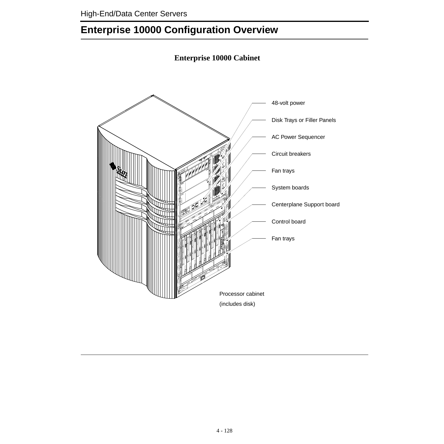# **Enterprise 10000 Configuration Overview**



### **Enterprise 10000 Cabinet**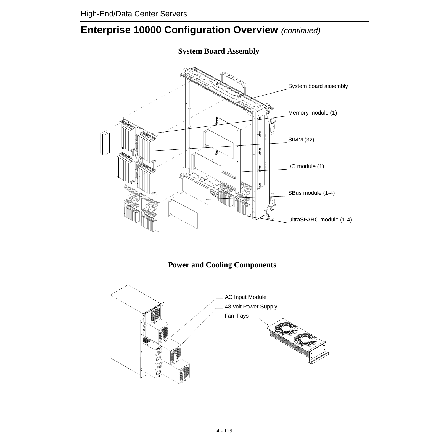# **Enterprise 10000 Configuration Overview (continued)**

### **System Board Assembly**



**Power and Cooling Components**

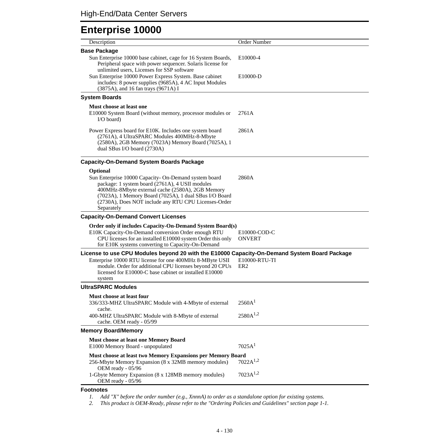# **Enterprise 10000**

|                                                                                                                                                                                                                                                                                              | Order Number                     |
|----------------------------------------------------------------------------------------------------------------------------------------------------------------------------------------------------------------------------------------------------------------------------------------------|----------------------------------|
| Description                                                                                                                                                                                                                                                                                  |                                  |
| <b>Base Package</b><br>Sun Enterprise 10000 base cabinet, cage for 16 System Boards,<br>Peripheral space with power sequencer. Solaris license for<br>unlimited users, Licenses for SSP software                                                                                             | E10000-4                         |
| Sun Enterprise 10000 Power Express System. Base cabinet<br>includes: 8 power supplies (9685A), 4 AC Input Modules<br>(3875A), and 16 fan trays (9671A) I                                                                                                                                     | E10000-D                         |
| <b>System Boards</b>                                                                                                                                                                                                                                                                         |                                  |
| Must choose at least one                                                                                                                                                                                                                                                                     |                                  |
| E10000 System Board (without memory, processor modules or<br>$I/O$ board)                                                                                                                                                                                                                    | 2761A                            |
| Power Express board for E10K. Includes one system board<br>(2761A), 4 UltraSPARC Modules 400MHz-8-Mbyte<br>(2580A), 2GB Memory (7023A) Memory Board (7025A), 1<br>dual SBus I/O board (2730A)                                                                                                | 2861A                            |
| <b>Capacity-On-Demand System Boards Package</b>                                                                                                                                                                                                                                              |                                  |
| Optional                                                                                                                                                                                                                                                                                     |                                  |
| Sun Enterprise 10000 Capacity- On-Demand system board<br>package: 1 system board (2761A), 4 USII modules<br>400MHz-8Mbyte external cache (2580A), 2GB Memory<br>(7023A), 1 Memory Board (7025A), 1 dual SBus I/O Board<br>(2730A), Does NOT include any RTU CPU Licenses-Order<br>Separately | 2860A                            |
| <b>Capacity-On-Demand Convert Licenses</b>                                                                                                                                                                                                                                                   |                                  |
| Order only if includes Capacity-On-Demand System Board(s)                                                                                                                                                                                                                                    |                                  |
| E10K Capacity-On-Demand conversion Order enough RTU<br>CPU licenses for an installed E10000 system Order this only<br>for E10K systems converting to Capacity-On-Demand                                                                                                                      | E10000-COD-C<br><b>ONVERT</b>    |
| License to use CPU Modules beyond 20 with the E10000 Capacity-On-Demand System Board Package                                                                                                                                                                                                 |                                  |
| Enterprise 10000 RTU license for one 400MHz 8-MByte USII<br>module. Order for additional CPU licenses beyond 20 CPUs<br>licensed for E10000-C base cabinet or installed E10000<br>system                                                                                                     | E10000-RTU-TI<br>ER <sub>2</sub> |
| <b>UltraSPARC Modules</b>                                                                                                                                                                                                                                                                    |                                  |
| Must choose at least four<br>336/333-MHZ UltraSPARC Module with 4-Mbyte of external                                                                                                                                                                                                          | 2560A <sup>1</sup>               |
| cache.<br>400-MHZ UltraSPARC Module with 8-Mbyte of external<br>cache. OEM ready - 05/99                                                                                                                                                                                                     | $2580A^{1,2}$                    |
| <b>Memory Board/Memory</b>                                                                                                                                                                                                                                                                   |                                  |
| Must choose at least one Memory Board<br>E1000 Memory Board - unpopulated                                                                                                                                                                                                                    | 7025A <sup>1</sup>               |
| Must choose at least two Memory Expansions per Memory Board                                                                                                                                                                                                                                  |                                  |
| 256-Mbyte Memory Expansion (8 x 32MB memory modules)<br>OEM ready - 05/96                                                                                                                                                                                                                    | $7022A^{1,2}$                    |
| 1-Gbyte Memory Expansion (8 x 128MB memory modules)<br>OEM ready - 05/96                                                                                                                                                                                                                     | $7023A^{1,2}$                    |

#### **Footnotes**

*1. Add "X" before the order number (e.g., XnnnA) to order as a standalone option for existing systems.*

*2. This product is OEM-Ready, please refer to the "Ordering Policies and Guidelines" section page 1-1.*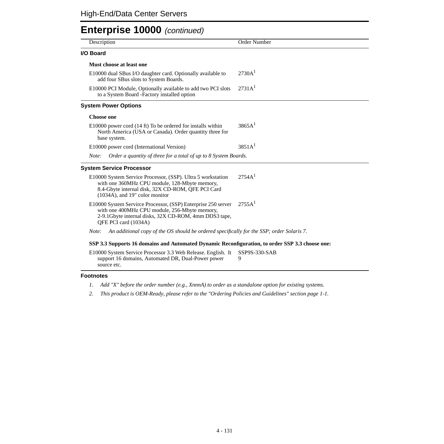### **Enterprise 10000** (continued)

| Description                                                                                                                                                                                            | Order Number       |
|--------------------------------------------------------------------------------------------------------------------------------------------------------------------------------------------------------|--------------------|
| I/O Board                                                                                                                                                                                              |                    |
| Must choose at least one                                                                                                                                                                               |                    |
| E10000 dual SBus I/O daughter card. Optionally available to<br>add four SBus slots to System Boards.                                                                                                   | 2730A <sup>1</sup> |
| E10000 PCI Module, Optionally available to add two PCI slots<br>to a System Board -Factory installed option                                                                                            | 2731A <sup>1</sup> |
| <b>System Power Options</b>                                                                                                                                                                            |                    |
| <b>Choose one</b>                                                                                                                                                                                      |                    |
| E10000 power cord (14 ft) To be ordered for installs within<br>North America (USA or Canada). Order quantity three for<br>base system.                                                                 | 3865A <sup>1</sup> |
| E10000 power cord (International Version)                                                                                                                                                              | 3851A <sup>1</sup> |
| Order a quantity of three for a total of up to 8 System Boards.<br>Note:                                                                                                                               |                    |
| <b>System Service Processor</b>                                                                                                                                                                        |                    |
| E10000 System Service Processor, (SSP). Ultra 5 workstation<br>with one 360MHz CPU module, 128-Mbyte memory,<br>8.4-Gbyte internal disk, 32X CD-ROM, QFE PCI Card<br>$(1034A)$ , and 19" color monitor | 2754A <sup>1</sup> |
| E10000 System Servirce Processor, (SSP) Enterprise 250 server<br>with one 400MHz CPU module, 256-Mbyte memory,<br>2-9.1 Gbyte internal disks, 32X CD-ROM, 4mm DDS3 tape,<br>QFE PCI card (1034A)       | 2755A <sup>1</sup> |
| An additional copy of the OS should be ordered specifically for the SSP; order Solaris 7.<br>Note:                                                                                                     |                    |
| SSP 3.3 Supports 16 domains and Automated Dynamic Reconfiguration, to order SSP 3.3 choose one:                                                                                                        |                    |
| E10000 System Service Processor 3.3 Web Release. English. It<br>support 16 domains, Automated DR, Dual-Power power                                                                                     | SSP9S-330-SAB<br>9 |

source etc.

#### **Footnotes**

- *1. Add "X" before the order number (e.g., XnnnA) to order as a standalone option for existing systems.*
- *2. This product is OEM-Ready, please refer to the "Ordering Policies and Guidelines" section page 1-1.*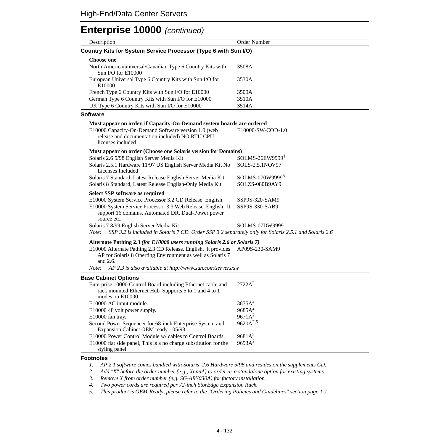### **Enterprise 10000** (continued)

| $\bullet$ (vormmoor)                                                                                                                    |                             |
|-----------------------------------------------------------------------------------------------------------------------------------------|-----------------------------|
| Description                                                                                                                             | <b>Order Number</b>         |
| Country Kits for System Service Processor (Type 6 with Sun I/O)                                                                         |                             |
| <b>Choose one</b>                                                                                                                       |                             |
| North America/universal/Canadian Type 6 Country Kits with<br>Sun I/O for E10000                                                         | 3508A                       |
| European Universal Type 6 Country Kits with Sun I/O for<br>E <sub>10000</sub>                                                           | 3530A                       |
| French Type 6 Country Kits with Sun I/O for E10000                                                                                      | 3509A                       |
| German Type 6 Country Kits with Sun I/O for E10000                                                                                      | 3510A                       |
| UK Type 6 Country Kits with Sun I/O for E10000                                                                                          | 3514A                       |
| <b>Software</b>                                                                                                                         |                             |
| Must appear on order, if Capacity-On-Demand system boards are ordered                                                                   |                             |
| E10000 Capacity-On-Demand Software version 1.0 (web<br>release and documentation included) NO RTU CPU<br>licenses included              | E10000-SW-COD-1.0           |
| Must appear on order (Choose one Solaris version for Domains)                                                                           |                             |
| Solaris 2.6 5/98 English Server Media Kit                                                                                               | SOLMS-26EW9999 <sup>1</sup> |
| Solaris 2.5.1 Hardware 11/97 US English Server Media Kit No<br>Licenses Included                                                        | SOLS-2.5.1NOV97             |
| Solaris 7 Standard, Latest Release English Server Media Kit                                                                             | SOLMS-070W9999 <sup>5</sup> |
| Solaris 8 Standard, Latest Release English-Only Media Kit                                                                               | SOLZS-080B9AY9              |
| <b>Select SSP software as required</b>                                                                                                  |                             |
| E10000 System Service Processor 3.2 CD Release. English.                                                                                | SSP9S-320-SAM9              |
| E10000 System Service Processor 3.3 Web Release. English. It<br>support 16 domains, Automated DR, Dual-Power power<br>source etc.       | SSP9S-330-SAB9              |
| Solaris 7 8/99 English Server Media Kit                                                                                                 | <b>SOLMS-07DW9999</b>       |
| SSP 3.2 is included in Solaris 7 CD. Order SSP 3.2 separately only for Solaris 2.5.1 and Solaris 2.6<br>Note:                           |                             |
| Alternate Pathing 2.3 (for E10000 users running Solaris 2.6 or Solaris 7)                                                               |                             |
| E10000 Alternate Pathing 2.3 CD Release. English. It provides<br>AP for Solaris 8 Operting Environment as well as Solaris 7<br>and 2.6. | AP09S-230-SAM9              |
| Note:<br>AP 2.3 is also available at http://www.sun.com/servers/sw                                                                      |                             |
| <b>Base Cabinet Options</b>                                                                                                             |                             |
| Enterprise 10000 Control Board including Ethernet cable and 2722A <sup>2</sup>                                                          |                             |
| rack mounted Ethernet Hub. Supports 5 to 1 and 4 to 1<br>modes on E10000                                                                |                             |
| E10000 AC input module.                                                                                                                 | $3875A^2$                   |
| E10000 48 volt power supply.                                                                                                            | $9685A^2$                   |
| E10000 fan tray.                                                                                                                        | $9671A^2$                   |
| Second Power Sequencer for 68-inch Enterprise System and<br>Expansion Cabinet OEM ready - 05/98                                         | $9620A^{2,5}$               |
| E10000 Power Control Module w/ cables to Control Boards                                                                                 | $9681A^2$                   |
| E10000 flat side panel, This is a no charge substitution for the<br>styling panel.                                                      | $9693A^2$                   |

#### **Footnotes**

*1. AP 2.1 software comes bundled with Solaris 2.6 Hardware 5/98 and resides on the supplements CD.*

*2. Add "X" before the order number (e.g., XnnnA) to order as a standalone option for existing systems.*

*3. Remove X from order number (e.g. SG-ARY030A) for factory installation.*

*4. Two power cords are required per 72-inch StorEdge Expansion Rack.*

*5. This product is OEM-Ready, please refer to the "Ordering Policies and Guidelines" section page 1-1.*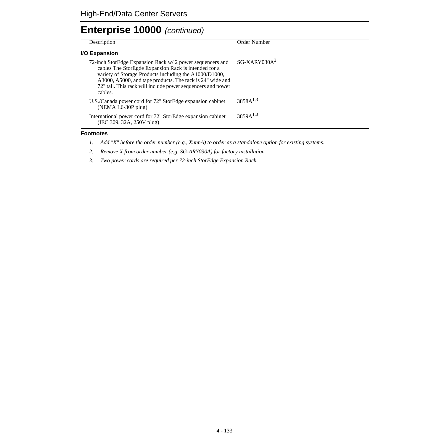### **Enterprise 10000** (continued)

| Description                                                                                                                                                                                                                                                                                                        | Order Number   |
|--------------------------------------------------------------------------------------------------------------------------------------------------------------------------------------------------------------------------------------------------------------------------------------------------------------------|----------------|
| I/O Expansion                                                                                                                                                                                                                                                                                                      |                |
| 72-inch StorEdge Expansion Rack w/ 2 power sequencers and<br>cables The StorEgde Expansion Rack is intended for a<br>variety of Storage Products including the A1000/D1000,<br>A3000, A5000, and tape products. The rack is 24" wide and<br>72" tall. This rack will include power sequencers and power<br>cables. | $SG-XARY030A2$ |
| U.S./Canada power cord for 72" StorEdge expansion cabinet<br>(NEMA L6-30P plug)                                                                                                                                                                                                                                    | $3858A^{1,3}$  |
| International power cord for 72" StorEdge expansion cabinet<br>(IEC 309, 32A, 250V plug)                                                                                                                                                                                                                           | $3859A^{1,3}$  |

#### **Footnotes**

*<sup>1.</sup> Add "X" before the order number (e.g., XnnnA) to order as a standalone option for existing systems.*

*<sup>2.</sup> Remove X from order number (e.g. SG-ARY030A) for factory installation.*

*<sup>3.</sup> Two power cords are required per 72-inch StorEdge Expansion Rack.*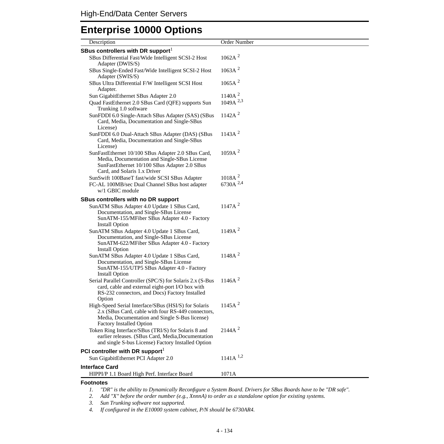### **Enterprise 10000 Options**

| Description                                                                                                                                                                                     | Order Number         |
|-------------------------------------------------------------------------------------------------------------------------------------------------------------------------------------------------|----------------------|
| SBus controllers with DR support                                                                                                                                                                |                      |
| SBus Differential Fast/Wide Intelligent SCSI-2 Host<br>Adapter (DWIS/S)                                                                                                                         | 1062A <sup>2</sup>   |
| SBus Single-Ended Fast/Wide Intelligent SCSI-2 Host<br>Adapter (SWIS/S)                                                                                                                         | 1063A <sup>2</sup>   |
| SBus Ultra Differential F/W Intelligent SCSI Host<br>Adapter.                                                                                                                                   | 1065A <sup>2</sup>   |
| Sun GigabitEthernet SBus Adapter 2.0                                                                                                                                                            | 1140A <sup>2</sup>   |
| Quad FastEthernet 2.0 SBus Card (QFE) supports Sun<br>Trunking 1.0 software                                                                                                                     | $1049A^{2,3}$        |
| SunFDDI 6.0 Single-Attach SBus Adapter (SAS) (SBus<br>Card, Media, Documentation and Single-SBus<br>License)                                                                                    | 1142A <sup>2</sup>   |
| SunFDDI 6.0 Dual-Attach SBus Adapter (DAS) (SBus<br>Card, Media, Documentation and Single-SBus<br>License)                                                                                      | 1143A <sup>2</sup>   |
| SunFastEthernet 10/100 SBus Adapter 2.0 SBus Card,<br>Media, Documentation and Single-SBus License<br>SunFastEthernet 10/100 SBus Adapter 2.0 SBus<br>Card, and Solaris 1.x Driver              | 1059A <sup>2</sup>   |
| SunSwift 100BaseT fast/wide SCSI SBus Adapter                                                                                                                                                   | 1018A <sup>2</sup>   |
| FC-AL 100MB/sec Dual Channel SBus host adapter<br>w/1 GBIC module                                                                                                                               | 6730A <sup>2,4</sup> |
| SBus controllers with no DR support                                                                                                                                                             |                      |
| SunATM SBus Adapter 4.0 Update 1 SBus Card,<br>Documentation, and Single-SBus License<br>SunATM-155/MFiber SBus Adapter 4.0 - Factory<br><b>Install Option</b>                                  | 1147A <sup>2</sup>   |
| SunATM SBus Adapter 4.0 Update 1 SBus Card,<br>Documentation, and Single-SBus License<br>SunATM-622/MFiber SBus Adapter 4.0 - Factory<br><b>Install Option</b>                                  | 1149A <sup>2</sup>   |
| SunATM SBus Adapter 4.0 Update 1 SBus Card,<br>Documentation, and Single-SBus License<br>SunATM-155/UTP5 SBus Adapter 4.0 - Factory<br><b>Install Option</b>                                    | 1148A <sup>2</sup>   |
| Serial Parallel Controller (SPC/S) for Solaris 2.x (S-Bus<br>card, cable and external eight-port I/O box with<br>RS-232 connectors, and Docs) Factory Installed<br>Option                       | 1146A <sup>2</sup>   |
| High-Speed Serial Interface/SBus (HSI/S) for Solaris<br>2.x (SBus Card, cable with four RS-449 connectors,<br>Media, Documentation and Single S-Bus license)<br><b>Factory Installed Option</b> | 1145A <sup>2</sup>   |
| Token Ring Interface/SBus (TRI/S) for Solaris 8 and<br>earlier releases. (SBus Card, Media, Documentation<br>and single S-bus License) Factory Installed Option                                 | 2144A <sup>2</sup>   |
| PCI controller with DR support <sup>1</sup>                                                                                                                                                     |                      |
| Sun GigabitEthernet PCI Adapter 2.0                                                                                                                                                             | $1141A^{1,2}$        |
| <b>Interface Card</b>                                                                                                                                                                           |                      |
| HIPPI/P 1.1 Board High Perf. Interface Board                                                                                                                                                    | 1071A                |
| <b>Footnotes</b>                                                                                                                                                                                |                      |

*1. "DR" is the ability to Dynamically Reconfigure a System Board. Drivers for SBus Boards have to be "DR safe".*

*2. Add "X" before the order number (e.g., XnnnA) to order as a standalone option for existing systems.*

*3. Sun Trunking software not supported.*

*4. If configured in the E10000 system cabinet, P/N should be 6730AR4.*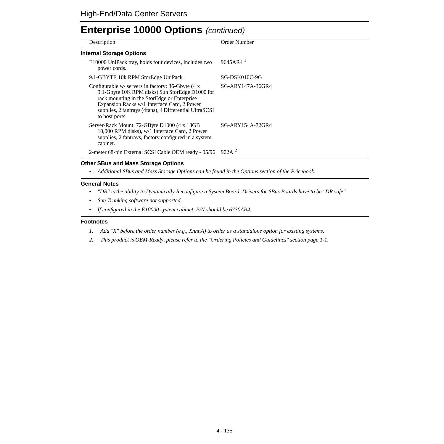### **Enterprise 10000 Options** (continued)

| Description                                                                                                                                                                                                                                                                         | Order Number        |
|-------------------------------------------------------------------------------------------------------------------------------------------------------------------------------------------------------------------------------------------------------------------------------------|---------------------|
| <b>Internal Storage Options</b>                                                                                                                                                                                                                                                     |                     |
| E10000 UniPack tray, holds four devices, includes two<br>power cords.                                                                                                                                                                                                               | 9645AR <sup>1</sup> |
| 9.1-GBYTE 10k RPM StorEdge UniPack                                                                                                                                                                                                                                                  | SG-DSK010C-9G       |
| Configurable w/ servers in factory: $36$ -Gbyte $(4 x$<br>9.1-Gbyte 10K RPM disks) Sun StorEdge D1000 for<br>rack mounting in the StorEdge or Enterprise<br>Expansion Racks w/1 Interface Card, 2 Power<br>supplies, 2 fantrays (4 fans), 4 Differential UltraSCSI<br>to host ports | SG-ARY147A-36GR4    |
| Server-Rack Mount. 72-GByte D1000 (4 x 18GB)<br>10,000 RPM disks), w/1 Interface Card, 2 Power<br>supplies, 2 fantrays, factory configured in a system<br>cabinet.                                                                                                                  | SG-ARY154A-72GR4    |
| 2-meter 68-pin External SCSI Cable OEM ready - 05/96                                                                                                                                                                                                                                | $902A^2$            |
| <b>Other SBus and Mass Storage Options</b>                                                                                                                                                                                                                                          |                     |

*• Additional SBus and Mass Storage Options can be found in the Options section of the Pricebook.*

#### **General Notes**

- *"DR" is the ability to Dynamically Reconfigure a System Board. Drivers for SBus Boards have to be "DR safe".*
- *Sun Trunking software not supported.*
- *If configured in the E10000 system cabinet, P/N should be 6730AR4.*

#### **Footnotes**

- *1. Add "X" before the order number (e.g., XnnnA) to order as a standalone option for existing systems.*
- *2. This product is OEM-Ready, please refer to the "Ordering Policies and Guidelines" section page 1-1.*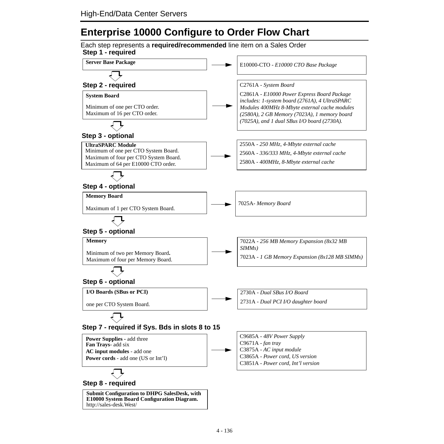### **Enterprise 10000 Configure to Order Flow Chart**

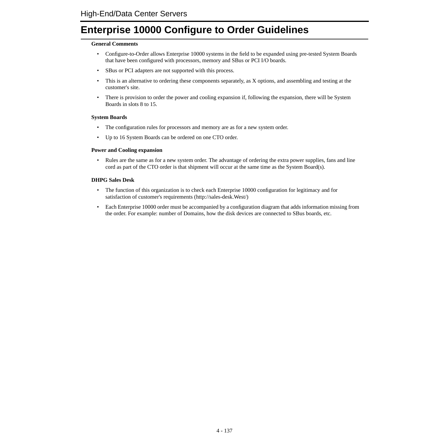### **Enterprise 10000 Configure to Order Guidelines**

#### **General Comments**

- Configure-to-Order allows Enterprise 10000 systems in the field to be expanded using pre-tested System Boards that have been configured with processors, memory and SBus or PCI I/O boards.
- SBus or PCI adapters are not supported with this process.
- This is an alternative to ordering these components separately, as X options, and assembling and testing at the customer's site.
- There is provision to order the power and cooling expansion if, following the expansion, there will be System Boards in slots 8 to 15.

#### **System Boards**

- The configuration rules for processors and memory are as for a new system order.
- Up to 16 System Boards can be ordered on one CTO order.

#### **Power and Cooling expansion**

• Rules are the same as for a new system order. The advantage of ordering the extra power supplies, fans and line cord as part of the CTO order is that shipment will occur at the same time as the System Board(s).

#### **DHPG Sales Desk**

- The function of this organization is to check each Enterprise 10000 configuration for legitimacy and for satisfaction of customer's requirements (http://sales-desk.West/)
- Each Enterprise 10000 order must be accompanied by a configuration diagram that adds information missing from the order. For example: number of Domains, how the disk devices are connected to SBus boards, etc.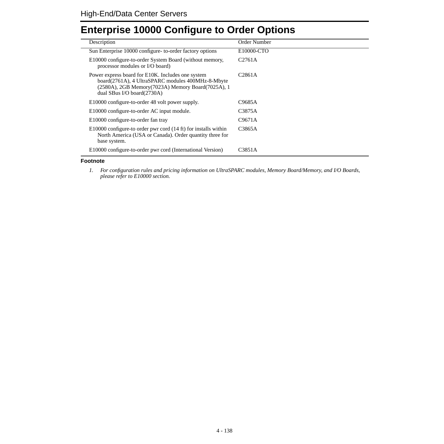# **Enterprise 10000 Configure to Order Options**

| Description                                                                                                                                                                               | Order Number        |
|-------------------------------------------------------------------------------------------------------------------------------------------------------------------------------------------|---------------------|
| Sun Enterprise 10000 configure- to-order factory options                                                                                                                                  | E10000-CTO          |
| E10000 configure-to-order System Board (without memory,<br>processor modules or I/O board)                                                                                                | C2761A              |
| Power express board for E10K. Includes one system<br>board(2761A), 4 UltraSPARC modules 400MHz-8-Mbyte<br>(2580A), 2GB Memory(7023A) Memory Board(7025A), 1<br>dual SBus I/O board(2730A) | C <sub>2861</sub> A |
| E10000 configure-to-order 48 volt power supply.                                                                                                                                           | C9685A              |
| E10000 configure-to-order AC input module.                                                                                                                                                | C <sub>3875A</sub>  |
| E10000 configure-to-order fan tray                                                                                                                                                        | C9671A              |
| E10000 configure-to order pwr cord (14 ft) for installs within<br>North America (USA or Canada). Order quantity three for<br>base system.                                                 | C3865A              |
| E10000 configure-to-order pwr cord (International Version)                                                                                                                                | C3851A              |

#### **Footnote**

*1. For configuration rules and pricing information on UltraSPARC modules, Memory Board/Memory, and I/O Boards, please refer to E10000 section.*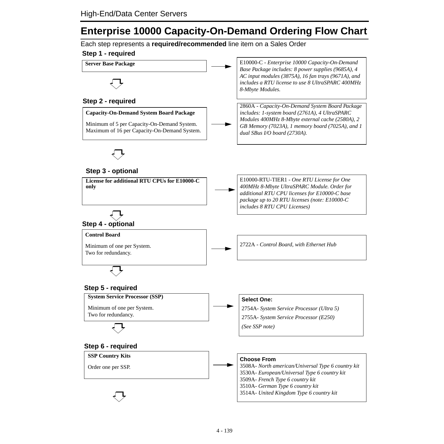### **Enterprise 10000 Capacity-On-Demand Ordering Flow Chart**

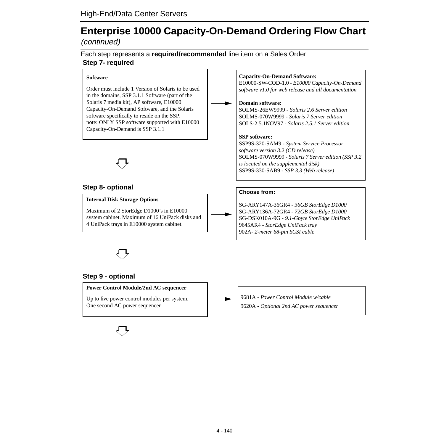# **Enterprise 10000 Capacity-On-Demand Ordering Flow Chart**

### (continued)

### Each step represents a **required/recommended** line item on a Sales Order



#### **Software**

Order must include 1 Version of Solaris to be used in the domains, SSP 3.1.1 Software (part of the Solaris 7 media kit), AP software, E10000 Capacity-On-Demand Software, and the Solaris software specifically to reside on the SSP. note: ONLY SSP software supported with E10000 Capacity-On-Demand is SSP 3.1.1



### **Step 8- optional**

#### **Internal Disk Storage Options**

Maximum of 2 StorEdge D1000's in E10000 system cabinet. Maximum of 16 UniPack disks and 4 UniPack trays in E10000 system cabinet.

#### **Step 9 - optional**

#### **Power Control Module/2nd AC sequencer**

Up to five power control modules per system. One second AC power sequencer.



9681A - *Power Control Module w/cable* 9620A - *Optional 2nd AC power sequencer*

**Capacity-On-Demand Software:**

**Domain software:**

**SSP software:**

**Choose from:**

E10000-SW-COD-1.0 *- E10000 Capacity-On-Demand software v1.0 for web release and all documentation*

SOLMS-26EW9999 *- Solaris 2.6 Server edition* SOLMS-070W9999 *- Solaris 7 Server edition* SOLS-2.5.1NOV97 *- Solaris 2.5.1 Server edition*

SSP9S-320-SAM9 *- System Service Processor*

SG-ARY147A-36GR4 - *36GB StorEdge D1000* SG-ARY136A-72GR4 - *72GB StorEdge D1000* SG-DSK010A-9G - *9.1-Gbyte StorEdge UniPack*

SOLMS-070W9999 *- Solaris 7 Server edition (SSP 3.2*

*software version 3.2 (CD release)*

*is located on the supplemental disk)* SSP9S-330-SAB9 - *SSP 3.3 (Web release)*

9645AR4 - *StorEdge UniPack tray* 902A- *2-meter 68-pin SCSI cable*

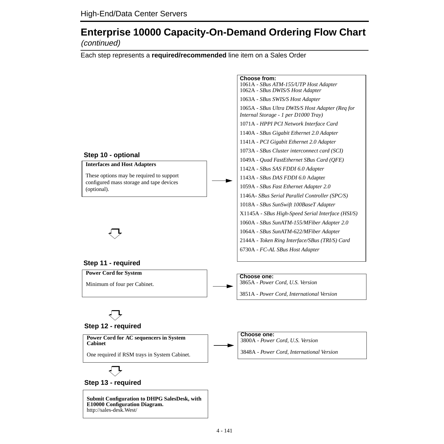# **Enterprise 10000 Capacity-On-Demand Ordering Flow Chart**

### (continued)

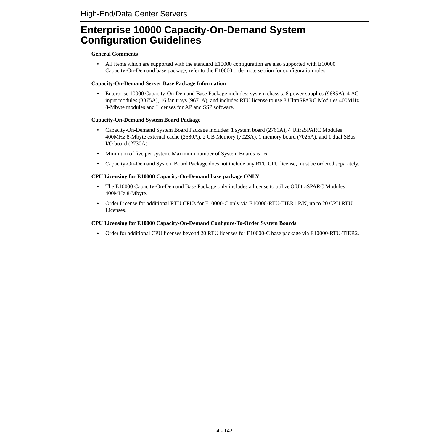### **Enterprise 10000 Capacity-On-Demand System Configuration Guidelines**

#### **General Comments**

• All items which are supported with the standard E10000 configuration are also supported with E10000 Capacity-On-Demand base package, refer to the E10000 order note section for configuration rules.

#### **Capacity-On-Demand Server Base Package Information**

• Enterprise 10000 Capacity-On-Demand Base Package includes: system chassis, 8 power supplies (9685A), 4 AC input modules (3875A), 16 fan trays (9671A), and includes RTU license to use 8 UltraSPARC Modules 400MHz 8-Mbyte modules and Licenses for AP and SSP software.

#### **Capacity-On-Demand System Board Package**

- Capacity-On-Demand System Board Package includes: 1 system board (2761A), 4 UltraSPARC Modules 400MHz 8-Mbyte external cache (2580A), 2 GB Memory (7023A), 1 memory board (7025A), and 1 dual SBus I/O board (2730A).
- Minimum of five per system. Maximum number of System Boards is 16.
- Capacity-On-Demand System Board Package does not include any RTU CPU license, must be ordered separately.

#### **CPU Licensing for E10000 Capacity-On-Demand base package ONLY**

- The E10000 Capacity-On-Demand Base Package only includes a license to utilize 8 UltraSPARC Modules 400MHz 8-Mbyte.
- Order License for additional RTU CPUs for E10000-C only via E10000-RTU-TIER1 P/N, up to 20 CPU RTU Licenses.

#### **CPU Licensing for E10000 Capacity-On-Demand Configure-To-Order System Boards**

• Order for additional CPU licenses beyond 20 RTU licenses for E10000-C base package via E10000-RTU-TIER2.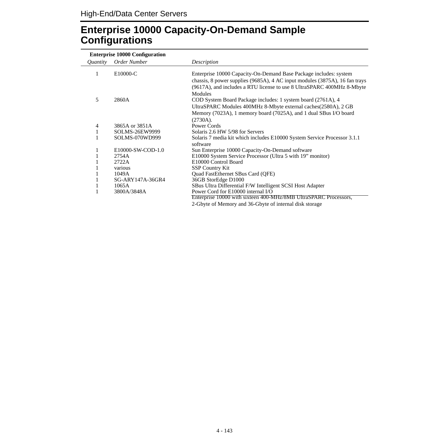### **Enterprise 10000 Capacity-On-Demand Sample Configurations**

|                 | <b>Enterprise 10000 Configuration</b> |                                                                                                                                                                                                                            |
|-----------------|---------------------------------------|----------------------------------------------------------------------------------------------------------------------------------------------------------------------------------------------------------------------------|
| <i>Ouantity</i> | Order Number                          | Description                                                                                                                                                                                                                |
| 1               | E10000-C                              | Enterprise 10000 Capacity-On-Demand Base Package includes: system<br>chassis, 8 power supplies (9685A), 4 AC input modules (3875A), 16 fan trays<br>(9617A), and includes a RTU license to use 8 UltraSPARC 400MHz 8-Mbyte |
|                 |                                       | Modules                                                                                                                                                                                                                    |
| 5               | 2860A                                 | COD System Board Package includes: 1 system board (2761A), 4                                                                                                                                                               |
|                 |                                       | UltraSPARC Modules 400MHz 8-Mbyte external caches(2580A), 2 GB                                                                                                                                                             |
|                 |                                       | Memory (7023A), 1 memory board (7025A), and 1 dual SBus I/O board                                                                                                                                                          |
|                 |                                       | (2730A).                                                                                                                                                                                                                   |
| 4               | 3865A or 3851A                        | Power Cords                                                                                                                                                                                                                |
| 1               | SOLMS-26EW9999                        | Solaris 2.6 HW 5/98 for Servers                                                                                                                                                                                            |
|                 | SOLMS-070WD999                        | Solaris 7 media kit which includes E10000 System Service Processor 3.1.1                                                                                                                                                   |
|                 |                                       | software                                                                                                                                                                                                                   |
| 1               | E10000-SW-COD-1.0                     | Sun Enterprise 10000 Capacity-On-Demand software                                                                                                                                                                           |
|                 | 2754A                                 | E10000 System Service Processor (Ultra 5 with 19" monitor)                                                                                                                                                                 |
|                 | 2722A                                 | E10000 Control Board                                                                                                                                                                                                       |
|                 | various                               | <b>SSP Country Kit</b>                                                                                                                                                                                                     |
|                 | 1049A                                 | Quad FastEthernet SBus Card (QFE)                                                                                                                                                                                          |
| 1               | SG-ARY147A-36GR4                      | 36GB StorEdge D1000                                                                                                                                                                                                        |
|                 | 1065A                                 | SBus Ultra Differential F/W Intelligent SCSI Host Adapter                                                                                                                                                                  |
|                 | 3800A/3848A                           | Power Cord for E10000 internal I/O                                                                                                                                                                                         |
|                 |                                       | Enterprise 10000 with sixteen 400-MHz/8MB UltraSPARC Processors,                                                                                                                                                           |
|                 |                                       | 2-Gbyte of Memory and 36-Gbyte of internal disk storage                                                                                                                                                                    |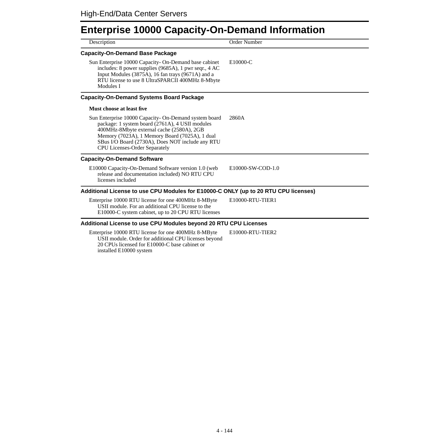20 CPUs licensed for E10000-C base cabinet or

installed E10000 system

# **Enterprise 10000 Capacity-On-Demand Information**

| Description                                                                                                                                                                                                                                                                                   | <b>Order Number</b> |
|-----------------------------------------------------------------------------------------------------------------------------------------------------------------------------------------------------------------------------------------------------------------------------------------------|---------------------|
| <b>Capacity-On-Demand Base Package</b>                                                                                                                                                                                                                                                        |                     |
| Sun Enterprise 10000 Capacity- On-Demand base cabinet<br>includes: 8 power supplies (9685A), 1 pwr seqr., 4 AC<br>Input Modules (3875A), 16 fan trays (9671A) and a<br>RTU license to use 8 UltraSPARCII 400MHz 8-Mbyte<br>Modules I                                                          | E10000-C            |
| <b>Capacity-On-Demand Systems Board Package</b>                                                                                                                                                                                                                                               |                     |
| Must choose at least five                                                                                                                                                                                                                                                                     |                     |
| Sun Enterprise 10000 Capacity - On-Demand system board<br>package: 1 system board (2761A), 4 USII modules<br>400MHz-8Mbyte external cache (2580A), 2GB<br>Memory (7023A), 1 Memory Board (7025A), 1 dual<br>SBus I/O Board (2730A), Does NOT include any RTU<br>CPU Licenses-Order Separately | 2860A               |
| <b>Capacity-On-Demand Software</b>                                                                                                                                                                                                                                                            |                     |
| E10000 Capacity-On-Demand Software version 1.0 (web<br>release and documentation included) NO RTU CPU<br>licenses included                                                                                                                                                                    | E10000-SW-COD-1.0   |
| Additional License to use CPU Modules for E10000-C ONLY (up to 20 RTU CPU licenses)                                                                                                                                                                                                           |                     |
| Enterprise 10000 RTU license for one 400MHz 8-MByte<br>USII module. For an additional CPU license to the<br>E10000-C system cabinet, up to 20 CPU RTU licenses                                                                                                                                | E10000-RTU-TIER1    |
| <b>Additional License to use CPU Modules beyond 20 RTU CPU Licenses</b>                                                                                                                                                                                                                       |                     |
| Enterprise 10000 RTU license for one 400MHz 8-MByte<br>USII module. Order for additional CPU licenses beyond                                                                                                                                                                                  | E10000-RTU-TIER2    |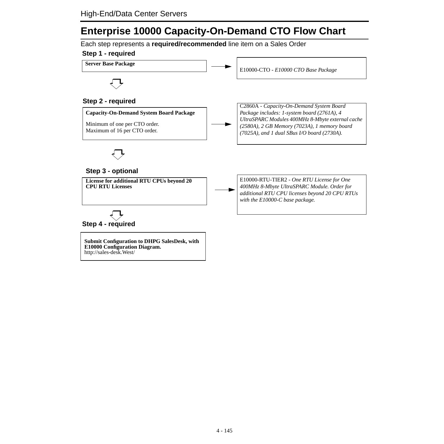# **Enterprise 10000 Capacity-On-Demand CTO Flow Chart**

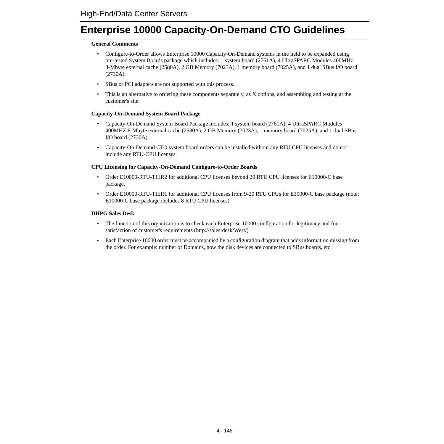### **Enterprise 10000 Capacity-On-Demand CTO Guidelines**

#### **General Comments**

- Configure-to-Order allows Enterprise 10000 Capacity-On-Demand systems in the field to be expanded using pre-tested System Boards package which includes: 1 system board (2761A), 4 UltraSPARC Modules 400MHz 8-Mbyte external cache (2580A), 2 GB Memory (7023A), 1 memory board (7025A), and 1 dual SBus I/O board (2730A).
- SBus or PCI adapters are not supported with this process.
- This is an alternative to ordering these components separately, as X options, and assembling and testing at the customer's site.

#### **Capacity-On-Demand System Board Package**

- Capacity-On-Demand System Board Package includes: 1 system board (2761A), 4 UltraSPARC Modules 400MHZ 8-Mbyte external cache (2580A), 2 GB Memory (7023A), 1 memory board (7025A), and 1 dual SBus I/O board (2730A).
- Capacity-On-Demand CTO system board orders can be installed without any RTU CPU licenses and do not include any RTU-CPU licenses.

#### **CPU Licensing for Capacity-On-Demand Configure-to-Order Boards**

- Order E10000-RTU-TIER2 for additional CPU licenses beyond 20 RTU CPU licenses for E10000-C base package.
- Order E10000-RTU-TIER1 for additional CPU licenses from 9-20 RTU CPUs for E10000-C base package (note: E10000-C base package includes 8 RTU CPU licenses)

#### **DHPG Sales Desk**

- The function of this organization is to check each Enterprise 10000 configuration for legitimacy and for satisfaction of customer's requirements (http://sales-desk/West/)
- Each Enterprise 10000 order must be accompanied by a configuration diagram that adds information missing from the order. For example: number of Domains, how the disk devices are connected to SBus boards, etc.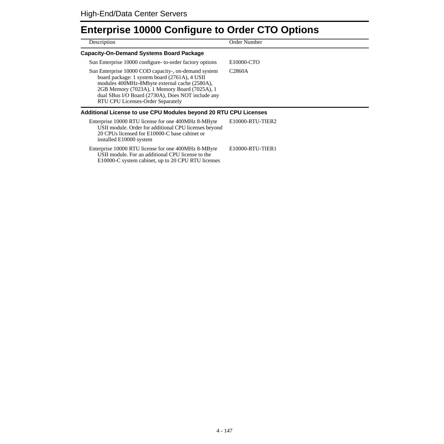# **Enterprise 10000 Configure to Order CTO Options**

| Description                                                                                                                                                                                                                                                                                       | Order Number        |
|---------------------------------------------------------------------------------------------------------------------------------------------------------------------------------------------------------------------------------------------------------------------------------------------------|---------------------|
| <b>Capacity-On-Demand Systems Board Package</b>                                                                                                                                                                                                                                                   |                     |
| Sun Enterprise 10000 configure to-order factory options                                                                                                                                                                                                                                           | E10000-CTO          |
| Sun Enterprise 10000 COD capacity-, on-demand system<br>board package: 1 system board (2761A), 4 USII<br>modules 400MHz-8Mbyte external cache (2580A),<br>2GB Memory (7023A), 1 Memory Board (7025A), 1<br>dual SBus I/O Board (2730A), Does NOT include any<br>RTU CPU Licenses-Order Separately | C <sub>2860</sub> A |
| Additional License to use CPU Modules beyond 20 RTU CPU Licenses                                                                                                                                                                                                                                  |                     |
| Enterprise 10000 RTU license for one 400MHz 8-MByte<br>USII module. Order for additional CPU licenses beyond<br>20 CPUs licensed for E10000-C base cabinet or<br>installed E10000 system                                                                                                          | E10000-RTU-TIER2    |
| Enterprise 10000 RTU license for one 400MHz 8-MByte<br>USII module. For an additional CPU license to the<br>E10000-C system cabinet, up to 20 CPU RTU licenses                                                                                                                                    | E10000-RTU-TIER1    |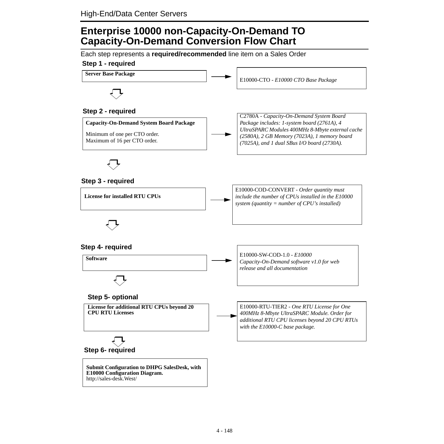### **Enterprise 10000 non-Capacity-On-Demand TO Capacity-On-Demand Conversion Flow Chart**